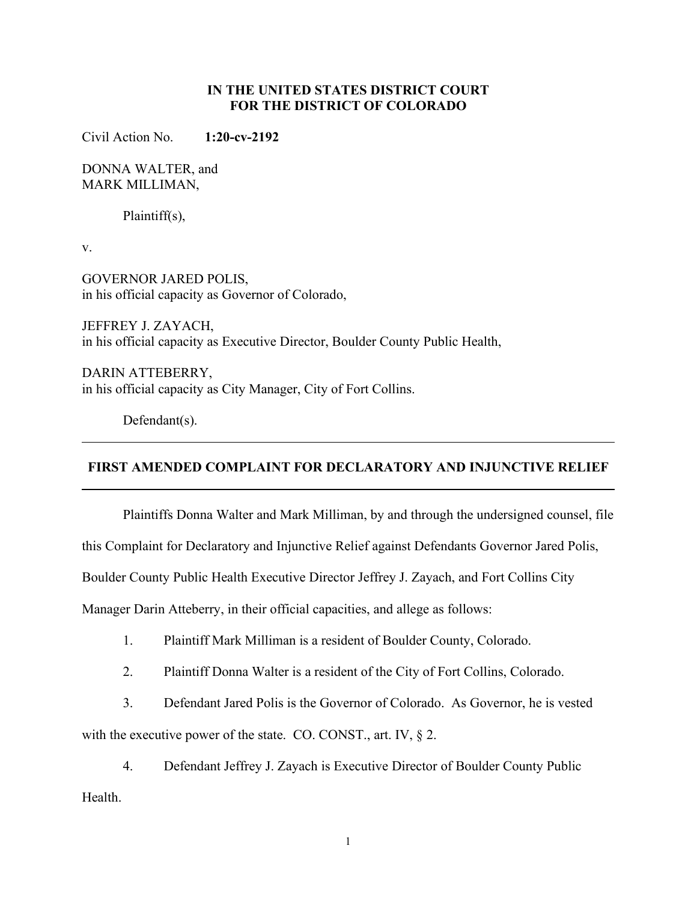## **IN THE UNITED STATES DISTRICT COURT FOR THE DISTRICT OF COLORADO**

Civil Action No. **1:20-cv-2192**

DONNA WALTER, and MARK MILLIMAN,

Plaintiff(s),

v.

GOVERNOR JARED POLIS, in his official capacity as Governor of Colorado,

JEFFREY J. ZAYACH, in his official capacity as Executive Director, Boulder County Public Health,

DARIN ATTEBERRY, in his official capacity as City Manager, City of Fort Collins.

Defendant(s).

### **FIRST AMENDED COMPLAINT FOR DECLARATORY AND INJUNCTIVE RELIEF**

Plaintiffs Donna Walter and Mark Milliman, by and through the undersigned counsel, file

this Complaint for Declaratory and Injunctive Relief against Defendants Governor Jared Polis,

Boulder County Public Health Executive Director Jeffrey J. Zayach, and Fort Collins City

Manager Darin Atteberry, in their official capacities, and allege as follows:

- 1. Plaintiff Mark Milliman is a resident of Boulder County, Colorado.
- 2. Plaintiff Donna Walter is a resident of the City of Fort Collins, Colorado.
- 3. Defendant Jared Polis is the Governor of Colorado. As Governor, he is vested

with the executive power of the state. CO. CONST., art. IV, § 2.

4. Defendant Jeffrey J. Zayach is Executive Director of Boulder County Public Health.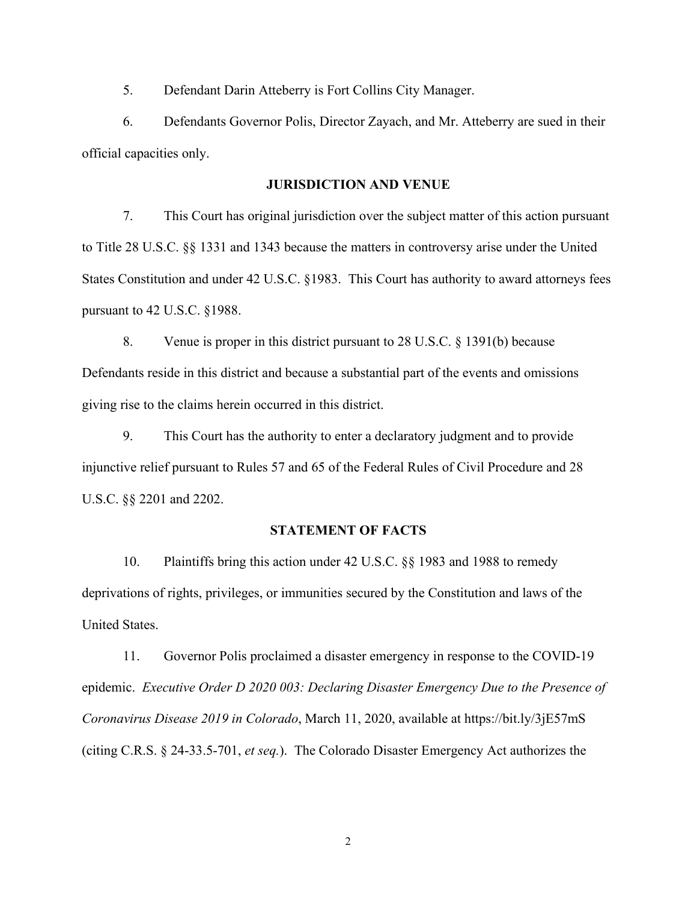5. Defendant Darin Atteberry is Fort Collins City Manager.

6. Defendants Governor Polis, Director Zayach, and Mr. Atteberry are sued in their official capacities only.

### **JURISDICTION AND VENUE**

7. This Court has original jurisdiction over the subject matter of this action pursuant to Title 28 U.S.C. §§ 1331 and 1343 because the matters in controversy arise under the United States Constitution and under 42 U.S.C. §1983. This Court has authority to award attorneys fees pursuant to 42 U.S.C. §1988.

8. Venue is proper in this district pursuant to 28 U.S.C. § 1391(b) because Defendants reside in this district and because a substantial part of the events and omissions giving rise to the claims herein occurred in this district.

9. This Court has the authority to enter a declaratory judgment and to provide injunctive relief pursuant to Rules 57 and 65 of the Federal Rules of Civil Procedure and 28 U.S.C. §§ 2201 and 2202.

### **STATEMENT OF FACTS**

10. Plaintiffs bring this action under 42 U.S.C. §§ 1983 and 1988 to remedy deprivations of rights, privileges, or immunities secured by the Constitution and laws of the United States.

11. Governor Polis proclaimed a disaster emergency in response to the COVID-19 epidemic. *Executive Order D 2020 003: Declaring Disaster Emergency Due to the Presence of Coronavirus Disease 2019 in Colorado*, March 11, 2020, available at https://bit.ly/3jE57mS (citing C.R.S. § 24-33.5-701, *et seq.*). The Colorado Disaster Emergency Act authorizes the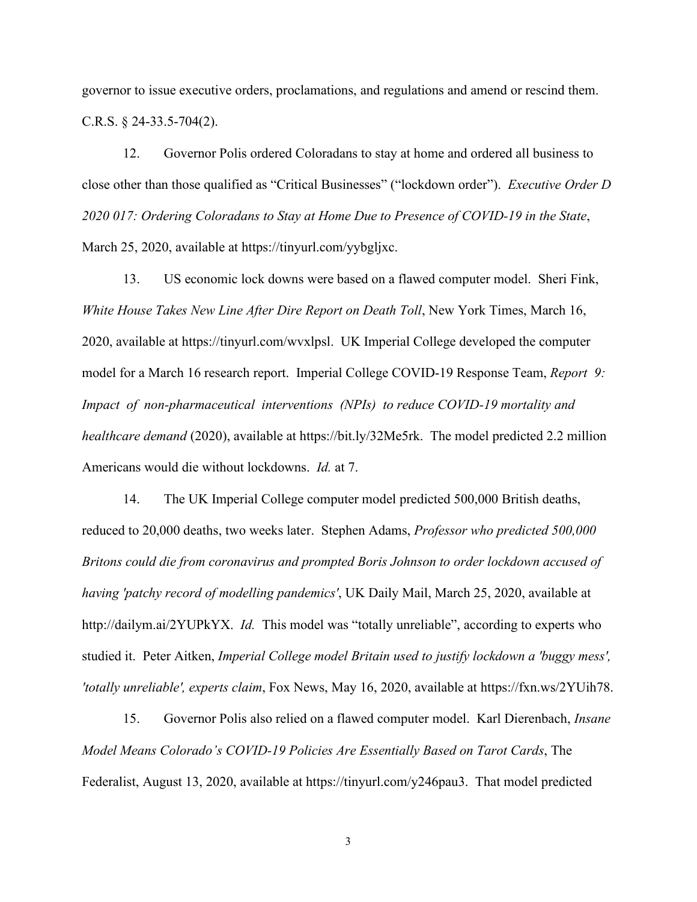governor to issue executive orders, proclamations, and regulations and amend or rescind them. C.R.S. § 24-33.5-704(2).

12. Governor Polis ordered Coloradans to stay at home and ordered all business to close other than those qualified as "Critical Businesses" ("lockdown order"). *Executive Order D 2020 017: Ordering Coloradans to Stay at Home Due to Presence of COVID-19 in the State*, March 25, 2020, available at https://tinyurl.com/yybgljxc.

13. US economic lock downs were based on a flawed computer model. Sheri Fink, *White House Takes New Line After Dire Report on Death Toll*, New York Times, March 16, 2020, available at https://tinyurl.com/wvxlpsl. UK Imperial College developed the computer model for a March 16 research report. Imperial College COVID-19 Response Team, *Report 9: Impact of non-pharmaceutical interventions (NPIs) to reduce COVID-19 mortality and healthcare demand* (2020), available at https://bit.ly/32Me5rk. The model predicted 2.2 million Americans would die without lockdowns. *Id.* at 7.

14. The UK Imperial College computer model predicted 500,000 British deaths, reduced to 20,000 deaths, two weeks later. Stephen Adams, *Professor who predicted 500,000 Britons could die from coronavirus and prompted Boris Johnson to order lockdown accused of having 'patchy record of modelling pandemics'*, UK Daily Mail, March 25, 2020, available at http://dailym.ai/2YUPkYX. *Id.* This model was "totally unreliable", according to experts who studied it. Peter Aitken, *Imperial College model Britain used to justify lockdown a 'buggy mess', 'totally unreliable', experts claim*, Fox News, May 16, 2020, available at https://fxn.ws/2YUih78.

15. Governor Polis also relied on a flawed computer model. Karl Dierenbach, *Insane Model Means Colorado's COVID-19 Policies Are Essentially Based on Tarot Cards*, The Federalist, August 13, 2020, available at https://tinyurl.com/y246pau3. That model predicted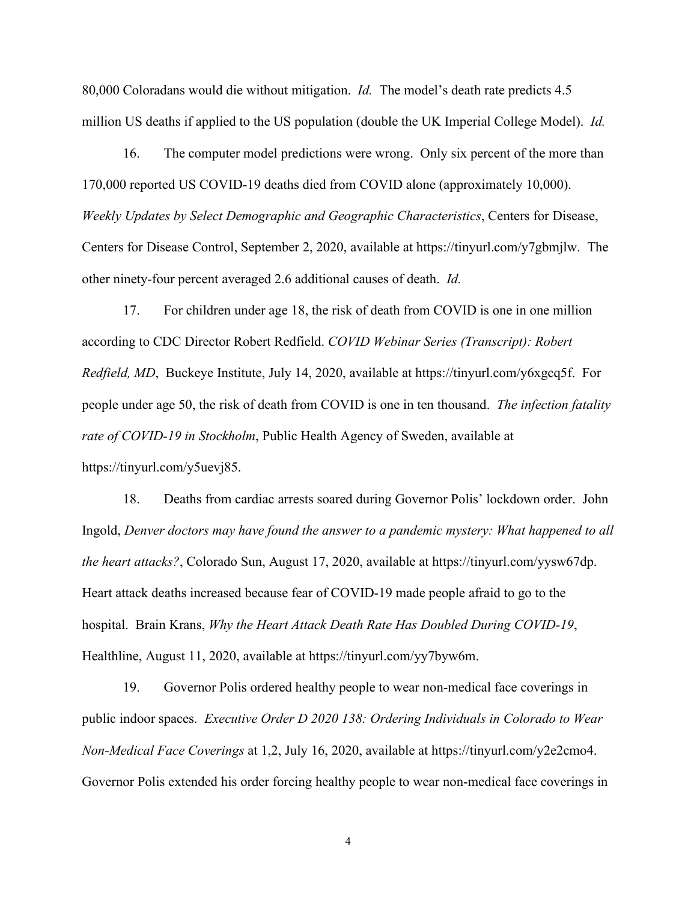80,000 Coloradans would die without mitigation. *Id.* The model's death rate predicts 4.5 million US deaths if applied to the US population (double the UK Imperial College Model). *Id.*

16. The computer model predictions were wrong. Only six percent of the more than 170,000 reported US COVID-19 deaths died from COVID alone (approximately 10,000). *Weekly Updates by Select Demographic and Geographic Characteristics*, Centers for Disease, Centers for Disease Control, September 2, 2020, available at https://tinyurl.com/y7gbmjlw. The other ninety-four percent averaged 2.6 additional causes of death. *Id.*

17. For children under age 18, the risk of death from COVID is one in one million according to CDC Director Robert Redfield. *COVID Webinar Series (Transcript): Robert Redfield, MD*, Buckeye Institute, July 14, 2020, available at https://tinyurl.com/y6xgcq5f. For people under age 50, the risk of death from COVID is one in ten thousand. *The infection fatality rate of COVID-19 in Stockholm*, Public Health Agency of Sweden, available at https://tinyurl.com/y5uevj85.

18. Deaths from cardiac arrests soared during Governor Polis' lockdown order. John Ingold, *Denver doctors may have found the answer to a pandemic mystery: What happened to all the heart attacks?*, Colorado Sun, August 17, 2020, available at https://tinyurl.com/yysw67dp. Heart attack deaths increased because fear of COVID-19 made people afraid to go to the hospital. Brain Krans, *Why the Heart Attack Death Rate Has Doubled During COVID-19*, Healthline, August 11, 2020, available at https://tinyurl.com/yy7byw6m.

19. Governor Polis ordered healthy people to wear non-medical face coverings in public indoor spaces. *Executive Order D 2020 138: Ordering Individuals in Colorado to Wear Non-Medical Face Coverings* at 1,2, July 16, 2020, available at https://tinyurl.com/y2e2cmo4. Governor Polis extended his order forcing healthy people to wear non-medical face coverings in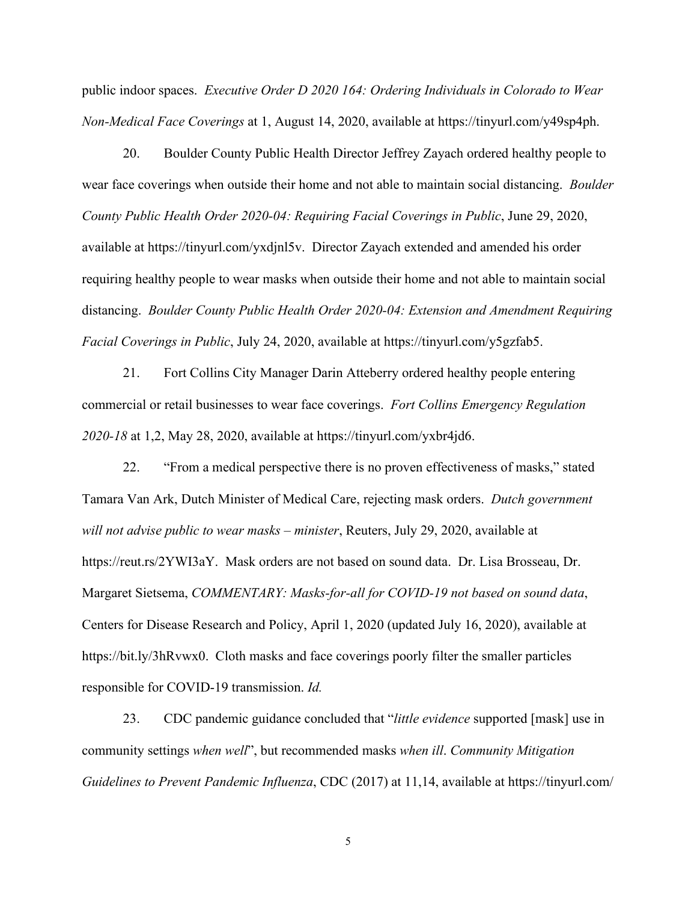public indoor spaces. *Executive Order D 2020 164: Ordering Individuals in Colorado to Wear Non-Medical Face Coverings* at 1, August 14, 2020, available at https://tinyurl.com/y49sp4ph.

20. Boulder County Public Health Director Jeffrey Zayach ordered healthy people to wear face coverings when outside their home and not able to maintain social distancing. *Boulder County Public Health Order 2020-04: Requiring Facial Coverings in Public*, June 29, 2020, available at https://tinyurl.com/yxdjnl5v. Director Zayach extended and amended his order requiring healthy people to wear masks when outside their home and not able to maintain social distancing. *Boulder County Public Health Order 2020-04: Extension and Amendment Requiring Facial Coverings in Public*, July 24, 2020, available at https://tinyurl.com/y5gzfab5.

21. Fort Collins City Manager Darin Atteberry ordered healthy people entering commercial or retail businesses to wear face coverings. *Fort Collins Emergency Regulation 2020-18* at 1,2, May 28, 2020, available at https://tinyurl.com/yxbr4jd6.

22. "From a medical perspective there is no proven effectiveness of masks," stated Tamara Van Ark, Dutch Minister of Medical Care, rejecting mask orders. *Dutch government will not advise public to wear masks – minister*, Reuters, July 29, 2020, available at https://reut.rs/2YWI3aY. Mask orders are not based on sound data. Dr. Lisa Brosseau, Dr. Margaret Sietsema, *COMMENTARY: Masks-for-all for COVID-19 not based on sound data*, Centers for Disease Research and Policy, April 1, 2020 (updated July 16, 2020), available at https://bit.ly/3hRvwx0. Cloth masks and face coverings poorly filter the smaller particles responsible for COVID-19 transmission. *Id.*

23. CDC pandemic guidance concluded that "*little evidence* supported [mask] use in community settings *when well*", but recommended masks *when ill*. *Community Mitigation Guidelines to Prevent Pandemic Influenza*, CDC (2017) at 11,14, available at https://tinyurl.com/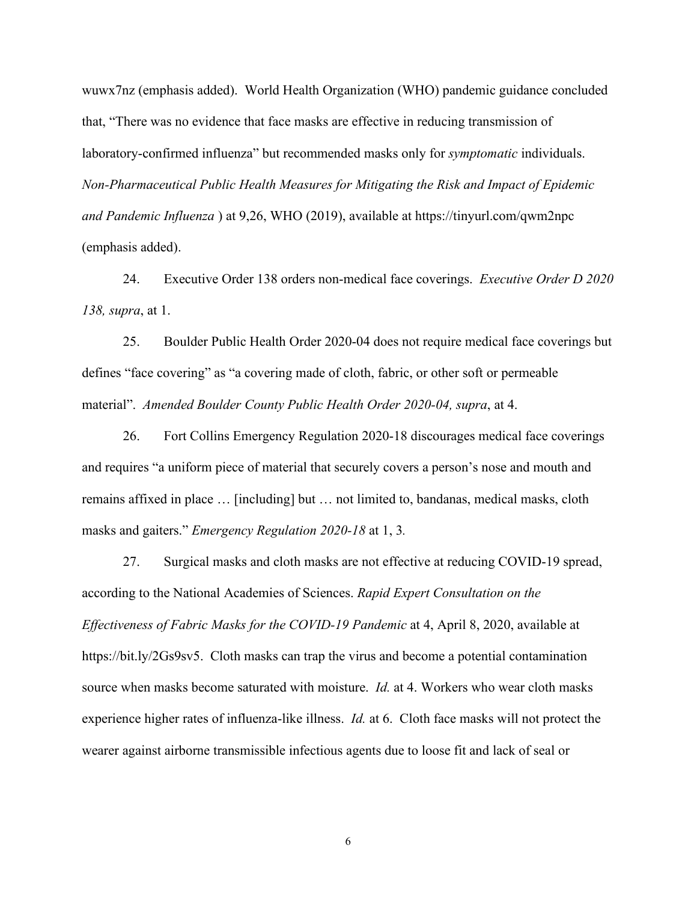wuwx7nz (emphasis added). World Health Organization (WHO) pandemic guidance concluded that, "There was no evidence that face masks are effective in reducing transmission of laboratory-confirmed influenza" but recommended masks only for *symptomatic* individuals. *Non-Pharmaceutical Public Health Measures for Mitigating the Risk and Impact of Epidemic and Pandemic Influenza* ) at 9,26, WHO (2019), available at https://tinyurl.com/qwm2npc (emphasis added).

24. Executive Order 138 orders non-medical face coverings. *Executive Order D 2020 138, supra*, at 1.

25. Boulder Public Health Order 2020-04 does not require medical face coverings but defines "face covering" as "a covering made of cloth, fabric, or other soft or permeable material". *Amended Boulder County Public Health Order 2020-04, supra*, at 4.

26. Fort Collins Emergency Regulation 2020-18 discourages medical face coverings and requires "a uniform piece of material that securely covers a person's nose and mouth and remains affixed in place … [including] but … not limited to, bandanas, medical masks, cloth masks and gaiters." *Emergency Regulation 2020-18* at 1, 3*.*

27. Surgical masks and cloth masks are not effective at reducing COVID-19 spread, according to the National Academies of Sciences. *Rapid Expert Consultation on the Effectiveness of Fabric Masks for the COVID-19 Pandemic* at 4, April 8, 2020, available at https://bit.ly/2Gs9sv5. Cloth masks can trap the virus and become a potential contamination source when masks become saturated with moisture. *Id.* at 4. Workers who wear cloth masks experience higher rates of influenza-like illness. *Id.* at 6. Cloth face masks will not protect the wearer against airborne transmissible infectious agents due to loose fit and lack of seal or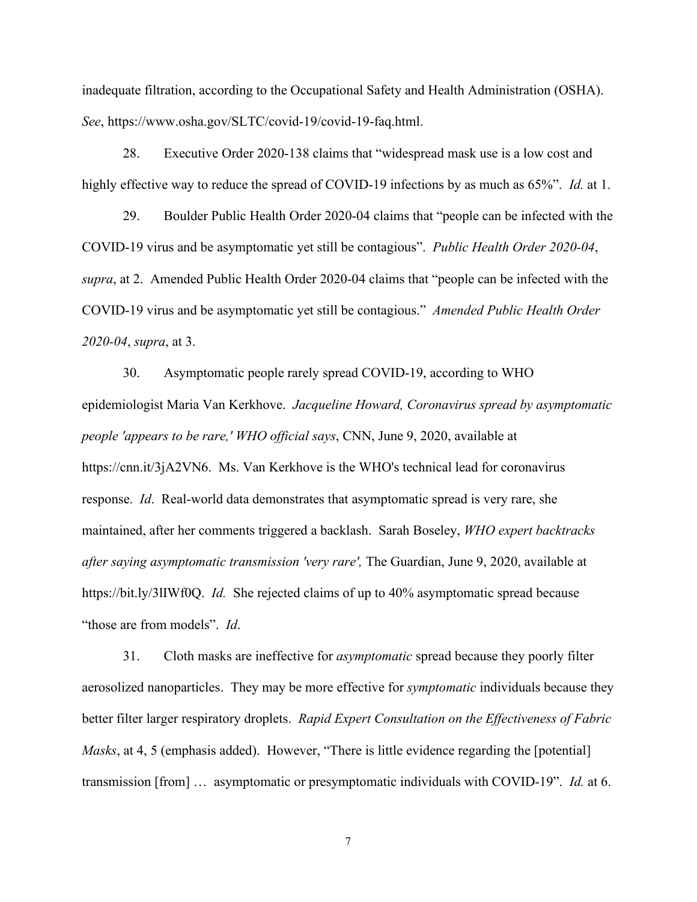inadequate filtration, according to the Occupational Safety and Health Administration (OSHA). *See*, https://www.osha.gov/SLTC/covid-19/covid-19-faq.html.

28. Executive Order 2020-138 claims that "widespread mask use is a low cost and highly effective way to reduce the spread of COVID-19 infections by as much as 65%". *Id.* at 1.

29. Boulder Public Health Order 2020-04 claims that "people can be infected with the COVID-19 virus and be asymptomatic yet still be contagious". *Public Health Order 2020-04*, *supra*, at 2. Amended Public Health Order 2020-04 claims that "people can be infected with the COVID-19 virus and be asymptomatic yet still be contagious." *Amended Public Health Order 2020-04*, *supra*, at 3.

30. Asymptomatic people rarely spread COVID-19, according to WHO epidemiologist Maria Van Kerkhove. *Jacqueline Howard, Coronavirus spread by asymptomatic people 'appears to be rare,' WHO official says*, CNN, June 9, 2020, available at https://cnn.it/3jA2VN6. Ms. Van Kerkhove is the WHO's technical lead for coronavirus response. *Id*. Real-world data demonstrates that asymptomatic spread is very rare, she maintained, after her comments triggered a backlash. Sarah Boseley, *WHO expert backtracks after saying asymptomatic transmission 'very rare',* The Guardian, June 9, 2020, available at https://bit.ly/3lIWf0Q. *Id.* She rejected claims of up to 40% asymptomatic spread because "those are from models". *Id*.

31. Cloth masks are ineffective for *asymptomatic* spread because they poorly filter aerosolized nanoparticles. They may be more effective for *symptomatic* individuals because they better filter larger respiratory droplets. *Rapid Expert Consultation on the Effectiveness of Fabric Masks*, at 4, 5 (emphasis added). However, "There is little evidence regarding the [potential] transmission [from] … asymptomatic or presymptomatic individuals with COVID-19". *Id.* at 6.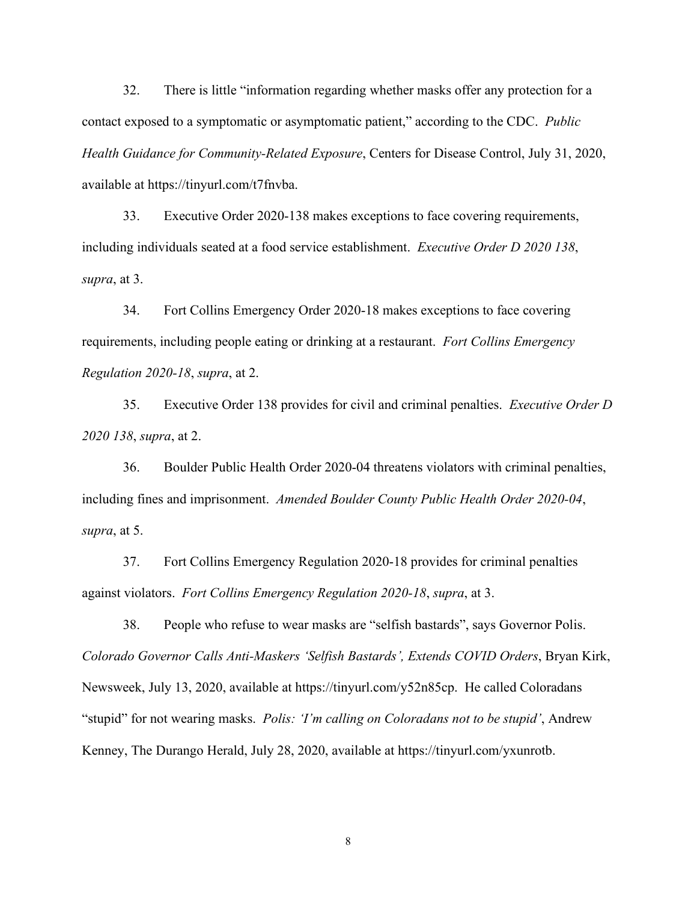32. There is little "information regarding whether masks offer any protection for a contact exposed to a symptomatic or asymptomatic patient," according to the CDC. *Public Health Guidance for Community-Related Exposure*, Centers for Disease Control, July 31, 2020, available at https://tinyurl.com/t7fnvba.

33. Executive Order 2020-138 makes exceptions to face covering requirements, including individuals seated at a food service establishment. *Executive Order D 2020 138*, *supra*, at 3.

34. Fort Collins Emergency Order 2020-18 makes exceptions to face covering requirements, including people eating or drinking at a restaurant. *Fort Collins Emergency Regulation 2020-18*, *supra*, at 2.

35. Executive Order 138 provides for civil and criminal penalties. *Executive Order D 2020 138*, *supra*, at 2.

36. Boulder Public Health Order 2020-04 threatens violators with criminal penalties, including fines and imprisonment. *Amended Boulder County Public Health Order 2020-04*, *supra*, at 5.

37. Fort Collins Emergency Regulation 2020-18 provides for criminal penalties against violators. *Fort Collins Emergency Regulation 2020-18*, *supra*, at 3.

38. People who refuse to wear masks are "selfish bastards", says Governor Polis. *Colorado Governor Calls Anti-Maskers 'Selfish Bastards', Extends COVID Orders*, Bryan Kirk, Newsweek, July 13, 2020, available at https://tinyurl.com/y52n85cp. He called Coloradans "stupid" for not wearing masks. *Polis: 'I'm calling on Coloradans not to be stupid'*, Andrew Kenney, The Durango Herald, July 28, 2020, available at https://tinyurl.com/yxunrotb.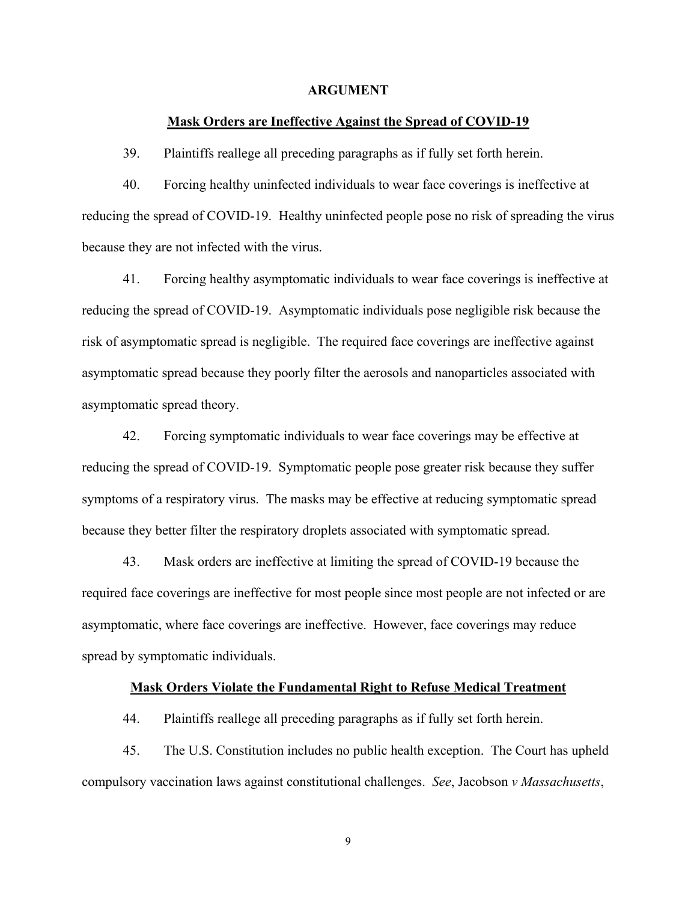#### **ARGUMENT**

#### **Mask Orders are Ineffective Against the Spread of COVID-19**

39. Plaintiffs reallege all preceding paragraphs as if fully set forth herein.

40. Forcing healthy uninfected individuals to wear face coverings is ineffective at reducing the spread of COVID-19. Healthy uninfected people pose no risk of spreading the virus because they are not infected with the virus.

41. Forcing healthy asymptomatic individuals to wear face coverings is ineffective at reducing the spread of COVID-19. Asymptomatic individuals pose negligible risk because the risk of asymptomatic spread is negligible. The required face coverings are ineffective against asymptomatic spread because they poorly filter the aerosols and nanoparticles associated with asymptomatic spread theory.

42. Forcing symptomatic individuals to wear face coverings may be effective at reducing the spread of COVID-19. Symptomatic people pose greater risk because they suffer symptoms of a respiratory virus. The masks may be effective at reducing symptomatic spread because they better filter the respiratory droplets associated with symptomatic spread.

43. Mask orders are ineffective at limiting the spread of COVID-19 because the required face coverings are ineffective for most people since most people are not infected or are asymptomatic, where face coverings are ineffective. However, face coverings may reduce spread by symptomatic individuals.

#### **Mask Orders Violate the Fundamental Right to Refuse Medical Treatment**

44. Plaintiffs reallege all preceding paragraphs as if fully set forth herein.

45. The U.S. Constitution includes no public health exception. The Court has upheld compulsory vaccination laws against constitutional challenges. *See*, Jacobson *v Massachusetts*,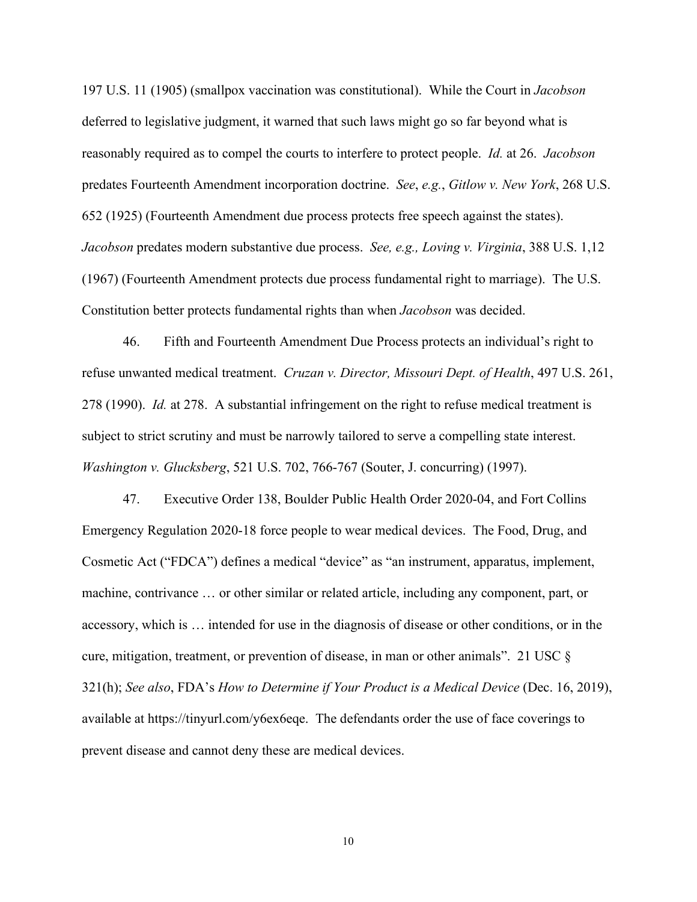197 U.S. 11 (1905) (smallpox vaccination was constitutional). While the Court in *Jacobson* deferred to legislative judgment, it warned that such laws might go so far beyond what is reasonably required as to compel the courts to interfere to protect people. *Id.* at 26. *Jacobson* predates Fourteenth Amendment incorporation doctrine. *See*, *e.g.*, *Gitlow v. New York*, 268 U.S. 652 (1925) (Fourteenth Amendment due process protects free speech against the states). *Jacobson* predates modern substantive due process. *See, e.g., Loving v. Virginia*, 388 U.S. 1,12 (1967) (Fourteenth Amendment protects due process fundamental right to marriage). The U.S. Constitution better protects fundamental rights than when *Jacobson* was decided.

46. Fifth and Fourteenth Amendment Due Process protects an individual's right to refuse unwanted medical treatment. *Cruzan v. Director, Missouri Dept. of Health*, 497 U.S. 261, 278 (1990). *Id.* at 278. A substantial infringement on the right to refuse medical treatment is subject to strict scrutiny and must be narrowly tailored to serve a compelling state interest. *Washington v. Glucksberg*, 521 U.S. 702, 766-767 (Souter, J. concurring) (1997).

47. Executive Order 138, Boulder Public Health Order 2020-04, and Fort Collins Emergency Regulation 2020-18 force people to wear medical devices. The Food, Drug, and Cosmetic Act ("FDCA") defines a medical "device" as "an instrument, apparatus, implement, machine, contrivance … or other similar or related article, including any component, part, or accessory, which is … intended for use in the diagnosis of disease or other conditions, or in the cure, mitigation, treatment, or prevention of disease, in man or other animals". 21 USC  $\S$ 321(h); *See also*, FDA's *How to Determine if Your Product is a Medical Device* (Dec. 16, 2019), available at https://tinyurl.com/y6ex6eqe. The defendants order the use of face coverings to prevent disease and cannot deny these are medical devices.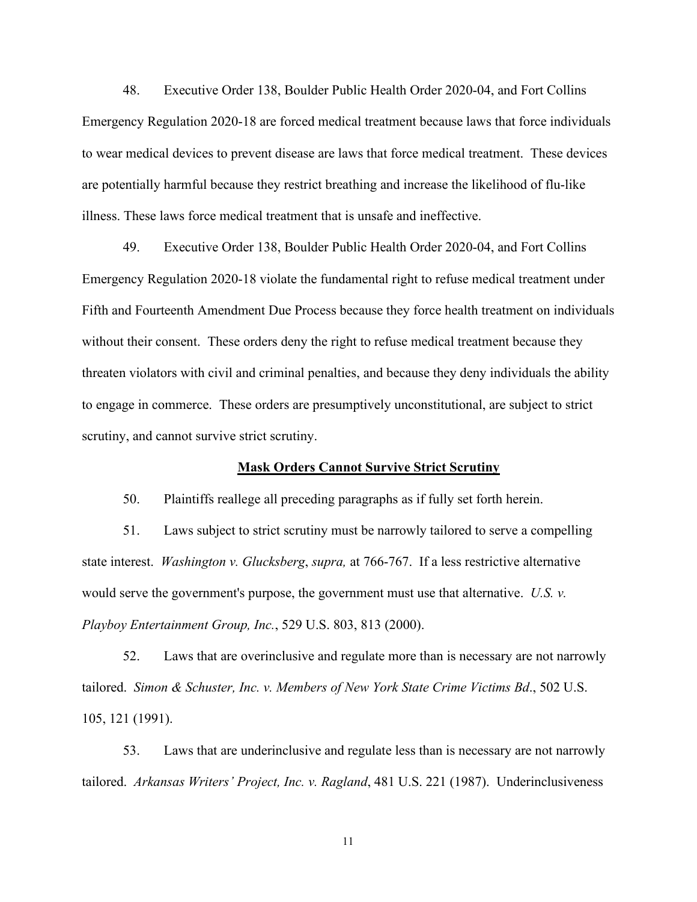48. Executive Order 138, Boulder Public Health Order 2020-04, and Fort Collins Emergency Regulation 2020-18 are forced medical treatment because laws that force individuals to wear medical devices to prevent disease are laws that force medical treatment. These devices are potentially harmful because they restrict breathing and increase the likelihood of flu-like illness. These laws force medical treatment that is unsafe and ineffective.

49. Executive Order 138, Boulder Public Health Order 2020-04, and Fort Collins Emergency Regulation 2020-18 violate the fundamental right to refuse medical treatment under Fifth and Fourteenth Amendment Due Process because they force health treatment on individuals without their consent. These orders deny the right to refuse medical treatment because they threaten violators with civil and criminal penalties, and because they deny individuals the ability to engage in commerce. These orders are presumptively unconstitutional, are subject to strict scrutiny, and cannot survive strict scrutiny.

#### **Mask Orders Cannot Survive Strict Scrutiny**

50. Plaintiffs reallege all preceding paragraphs as if fully set forth herein.

51. Laws subject to strict scrutiny must be narrowly tailored to serve a compelling state interest. *Washington v. Glucksberg*, *supra,* at 766-767. If a less restrictive alternative would serve the government's purpose, the government must use that alternative. *U.S. v. Playboy Entertainment Group, Inc.*, 529 U.S. 803, 813 (2000).

52. Laws that are overinclusive and regulate more than is necessary are not narrowly tailored. *Simon & Schuster, Inc. v. Members of New York State Crime Victims Bd*., 502 U.S. 105, 121 (1991).

53. Laws that are underinclusive and regulate less than is necessary are not narrowly tailored. *Arkansas Writers' Project, Inc. v. Ragland*, 481 U.S. 221 (1987). Underinclusiveness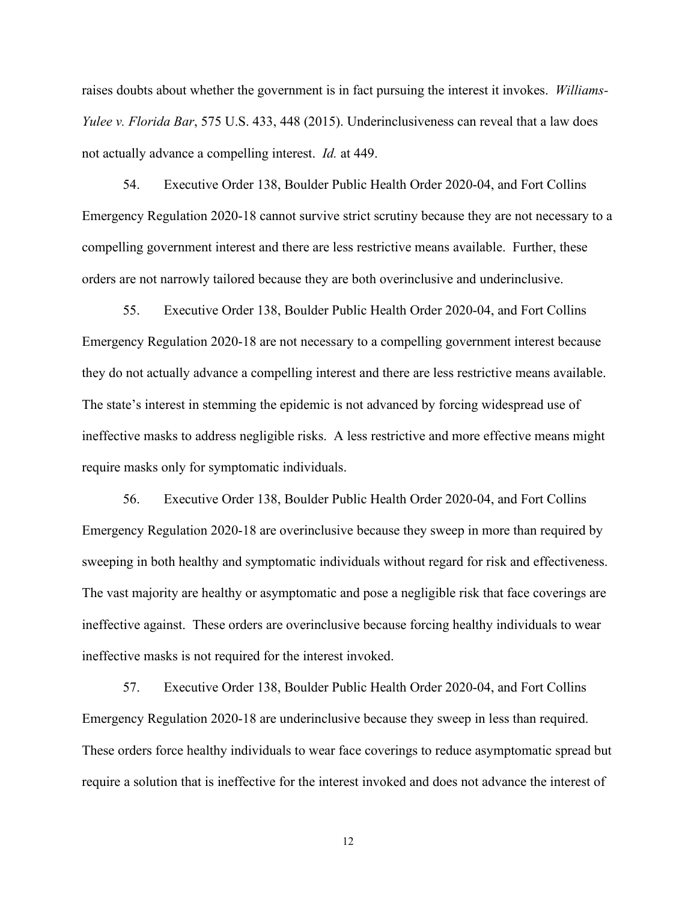raises doubts about whether the government is in fact pursuing the interest it invokes. *Williams-Yulee v. Florida Bar*, 575 U.S. 433, 448 (2015). Underinclusiveness can reveal that a law does not actually advance a compelling interest. *Id.* at 449.

54. Executive Order 138, Boulder Public Health Order 2020-04, and Fort Collins Emergency Regulation 2020-18 cannot survive strict scrutiny because they are not necessary to a compelling government interest and there are less restrictive means available. Further, these orders are not narrowly tailored because they are both overinclusive and underinclusive.

55. Executive Order 138, Boulder Public Health Order 2020-04, and Fort Collins Emergency Regulation 2020-18 are not necessary to a compelling government interest because they do not actually advance a compelling interest and there are less restrictive means available. The state's interest in stemming the epidemic is not advanced by forcing widespread use of ineffective masks to address negligible risks. A less restrictive and more effective means might require masks only for symptomatic individuals.

56. Executive Order 138, Boulder Public Health Order 2020-04, and Fort Collins Emergency Regulation 2020-18 are overinclusive because they sweep in more than required by sweeping in both healthy and symptomatic individuals without regard for risk and effectiveness. The vast majority are healthy or asymptomatic and pose a negligible risk that face coverings are ineffective against. These orders are overinclusive because forcing healthy individuals to wear ineffective masks is not required for the interest invoked.

57. Executive Order 138, Boulder Public Health Order 2020-04, and Fort Collins Emergency Regulation 2020-18 are underinclusive because they sweep in less than required. These orders force healthy individuals to wear face coverings to reduce asymptomatic spread but require a solution that is ineffective for the interest invoked and does not advance the interest of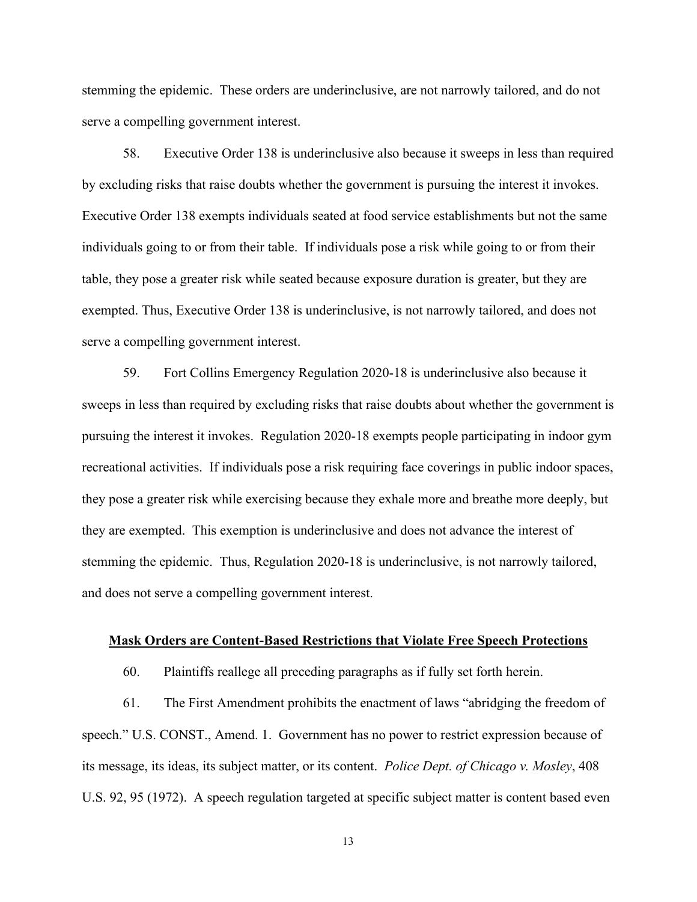stemming the epidemic. These orders are underinclusive, are not narrowly tailored, and do not serve a compelling government interest.

58. Executive Order 138 is underinclusive also because it sweeps in less than required by excluding risks that raise doubts whether the government is pursuing the interest it invokes. Executive Order 138 exempts individuals seated at food service establishments but not the same individuals going to or from their table. If individuals pose a risk while going to or from their table, they pose a greater risk while seated because exposure duration is greater, but they are exempted. Thus, Executive Order 138 is underinclusive, is not narrowly tailored, and does not serve a compelling government interest.

59. Fort Collins Emergency Regulation 2020-18 is underinclusive also because it sweeps in less than required by excluding risks that raise doubts about whether the government is pursuing the interest it invokes. Regulation 2020-18 exempts people participating in indoor gym recreational activities. If individuals pose a risk requiring face coverings in public indoor spaces, they pose a greater risk while exercising because they exhale more and breathe more deeply, but they are exempted. This exemption is underinclusive and does not advance the interest of stemming the epidemic. Thus, Regulation 2020-18 is underinclusive, is not narrowly tailored, and does not serve a compelling government interest.

#### **Mask Orders are Content-Based Restrictions that Violate Free Speech Protections**

60. Plaintiffs reallege all preceding paragraphs as if fully set forth herein.

61. The First Amendment prohibits the enactment of laws "abridging the freedom of speech." U.S. CONST., Amend. 1. Government has no power to restrict expression because of its message, its ideas, its subject matter, or its content. *Police Dept. of Chicago v. Mosley*, 408 U.S. 92, 95 (1972). A speech regulation targeted at specific subject matter is content based even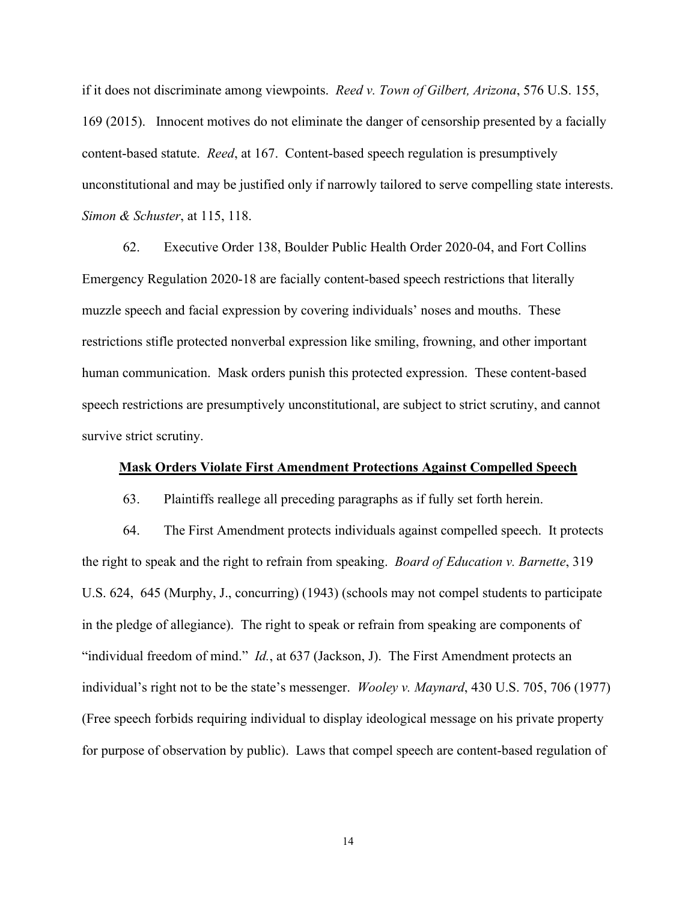if it does not discriminate among viewpoints. *Reed v. Town of Gilbert, Arizona*, 576 U.S. 155, 169 (2015). Innocent motives do not eliminate the danger of censorship presented by a facially content-based statute. *Reed*, at 167. Content-based speech regulation is presumptively unconstitutional and may be justified only if narrowly tailored to serve compelling state interests. *Simon & Schuster*, at 115, 118.

62. Executive Order 138, Boulder Public Health Order 2020-04, and Fort Collins Emergency Regulation 2020-18 are facially content-based speech restrictions that literally muzzle speech and facial expression by covering individuals' noses and mouths. These restrictions stifle protected nonverbal expression like smiling, frowning, and other important human communication. Mask orders punish this protected expression. These content-based speech restrictions are presumptively unconstitutional, are subject to strict scrutiny, and cannot survive strict scrutiny.

### **Mask Orders Violate First Amendment Protections Against Compelled Speech**

63. Plaintiffs reallege all preceding paragraphs as if fully set forth herein.

64. The First Amendment protects individuals against compelled speech. It protects the right to speak and the right to refrain from speaking. *Board of Education v. Barnette*, 319 U.S. 624, 645 (Murphy, J., concurring) (1943) (schools may not compel students to participate in the pledge of allegiance). The right to speak or refrain from speaking are components of "individual freedom of mind." *Id.*, at 637 (Jackson, J). The First Amendment protects an individual's right not to be the state's messenger. *Wooley v. Maynard*, 430 U.S. 705, 706 (1977) (Free speech forbids requiring individual to display ideological message on his private property for purpose of observation by public). Laws that compel speech are content-based regulation of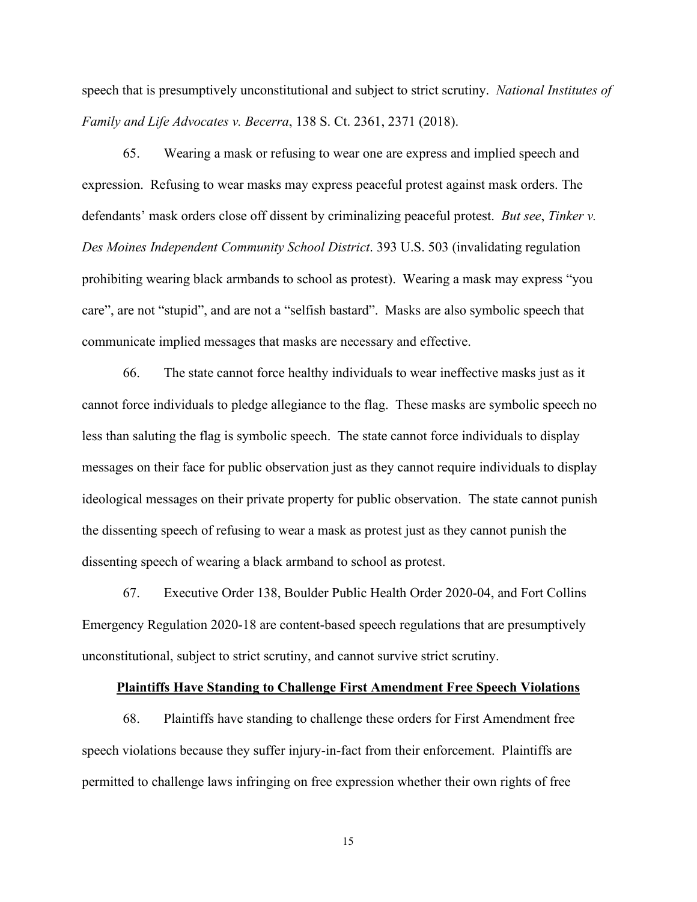speech that is presumptively unconstitutional and subject to strict scrutiny. *National Institutes of Family and Life Advocates v. Becerra*, 138 S. Ct. 2361, 2371 (2018).

65. Wearing a mask or refusing to wear one are express and implied speech and expression. Refusing to wear masks may express peaceful protest against mask orders. The defendants' mask orders close off dissent by criminalizing peaceful protest. *But see*, *Tinker v. Des Moines Independent Community School District*. 393 U.S. 503 (invalidating regulation prohibiting wearing black armbands to school as protest). Wearing a mask may express "you care", are not "stupid", and are not a "selfish bastard". Masks are also symbolic speech that communicate implied messages that masks are necessary and effective.

66. The state cannot force healthy individuals to wear ineffective masks just as it cannot force individuals to pledge allegiance to the flag. These masks are symbolic speech no less than saluting the flag is symbolic speech. The state cannot force individuals to display messages on their face for public observation just as they cannot require individuals to display ideological messages on their private property for public observation. The state cannot punish the dissenting speech of refusing to wear a mask as protest just as they cannot punish the dissenting speech of wearing a black armband to school as protest.

67. Executive Order 138, Boulder Public Health Order 2020-04, and Fort Collins Emergency Regulation 2020-18 are content-based speech regulations that are presumptively unconstitutional, subject to strict scrutiny, and cannot survive strict scrutiny.

#### **Plaintiffs Have Standing to Challenge First Amendment Free Speech Violations**

68. Plaintiffs have standing to challenge these orders for First Amendment free speech violations because they suffer injury-in-fact from their enforcement. Plaintiffs are permitted to challenge laws infringing on free expression whether their own rights of free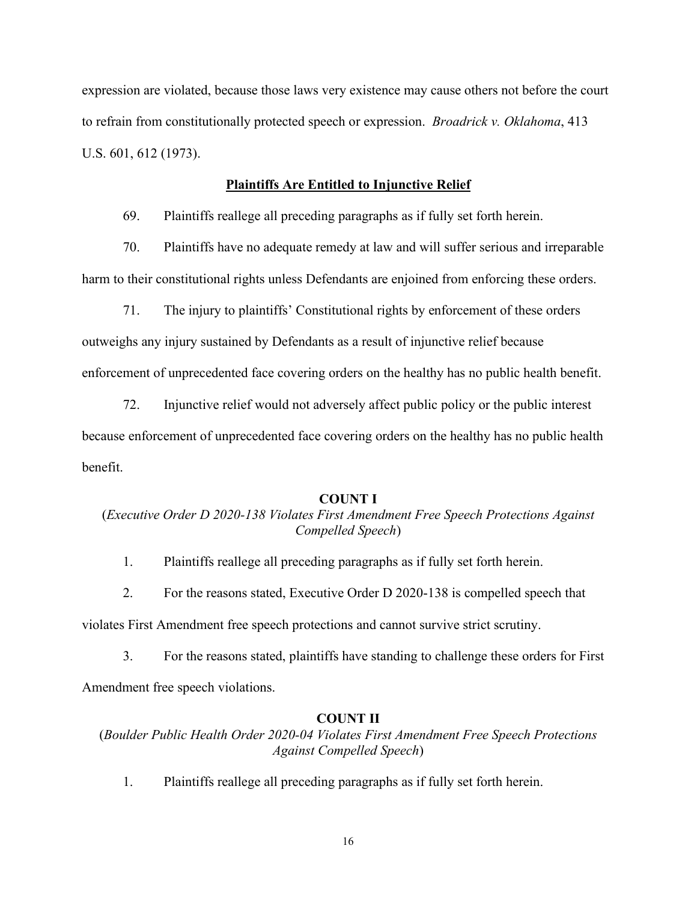expression are violated, because those laws very existence may cause others not before the court to refrain from constitutionally protected speech or expression. *Broadrick v. Oklahoma*, 413 U.S. 601, 612 (1973).

#### **Plaintiffs Are Entitled to Injunctive Relief**

69. Plaintiffs reallege all preceding paragraphs as if fully set forth herein.

70. Plaintiffs have no adequate remedy at law and will suffer serious and irreparable harm to their constitutional rights unless Defendants are enjoined from enforcing these orders.

71. The injury to plaintiffs' Constitutional rights by enforcement of these orders outweighs any injury sustained by Defendants as a result of injunctive relief because enforcement of unprecedented face covering orders on the healthy has no public health benefit.

72. Injunctive relief would not adversely affect public policy or the public interest because enforcement of unprecedented face covering orders on the healthy has no public health benefit.

### **COUNT I**

## (*Executive Order D 2020-138 Violates First Amendment Free Speech Protections Against Compelled Speech*)

1. Plaintiffs reallege all preceding paragraphs as if fully set forth herein.

2. For the reasons stated, Executive Order D 2020-138 is compelled speech that

violates First Amendment free speech protections and cannot survive strict scrutiny.

3. For the reasons stated, plaintiffs have standing to challenge these orders for First Amendment free speech violations.

#### **COUNT II**

(*Boulder Public Health Order 2020-04 Violates First Amendment Free Speech Protections Against Compelled Speech*)

1. Plaintiffs reallege all preceding paragraphs as if fully set forth herein.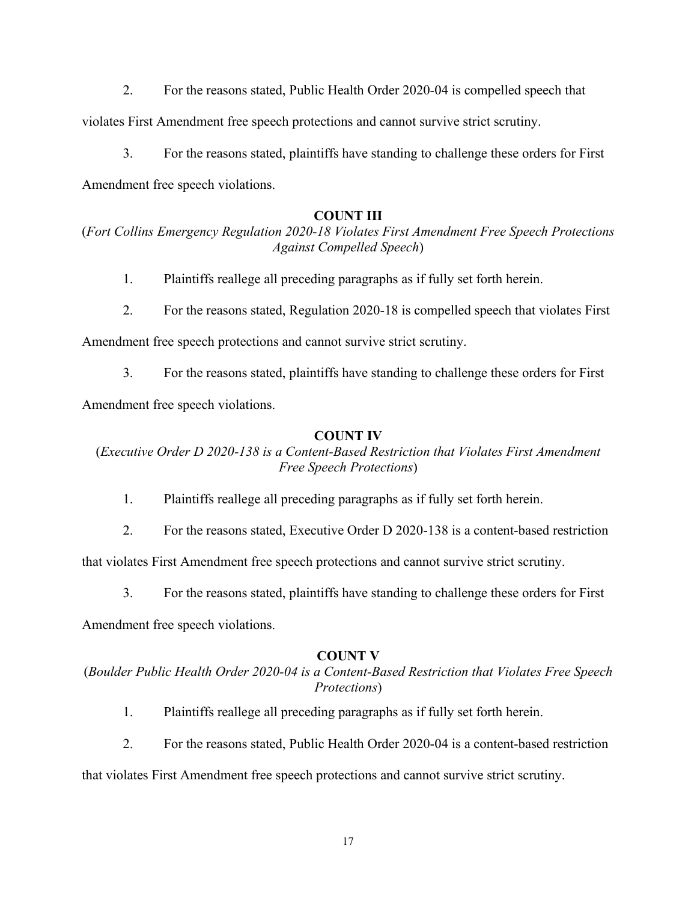2. For the reasons stated, Public Health Order 2020-04 is compelled speech that

violates First Amendment free speech protections and cannot survive strict scrutiny.

3. For the reasons stated, plaintiffs have standing to challenge these orders for First

Amendment free speech violations.

## **COUNT III**

# (*Fort Collins Emergency Regulation 2020-18 Violates First Amendment Free Speech Protections Against Compelled Speech*)

- 1. Plaintiffs reallege all preceding paragraphs as if fully set forth herein.
- 2. For the reasons stated, Regulation 2020-18 is compelled speech that violates First

Amendment free speech protections and cannot survive strict scrutiny.

3. For the reasons stated, plaintiffs have standing to challenge these orders for First Amendment free speech violations.

### **COUNT IV**

(*Executive Order D 2020-138 is a Content-Based Restriction that Violates First Amendment Free Speech Protections*)

- 1. Plaintiffs reallege all preceding paragraphs as if fully set forth herein.
- 2. For the reasons stated, Executive Order D 2020-138 is a content-based restriction

that violates First Amendment free speech protections and cannot survive strict scrutiny.

3. For the reasons stated, plaintiffs have standing to challenge these orders for First

Amendment free speech violations.

## **COUNT V**

# (*Boulder Public Health Order 2020-04 is a Content-Based Restriction that Violates Free Speech Protections*)

- 1. Plaintiffs reallege all preceding paragraphs as if fully set forth herein.
- 2. For the reasons stated, Public Health Order 2020-04 is a content-based restriction

that violates First Amendment free speech protections and cannot survive strict scrutiny.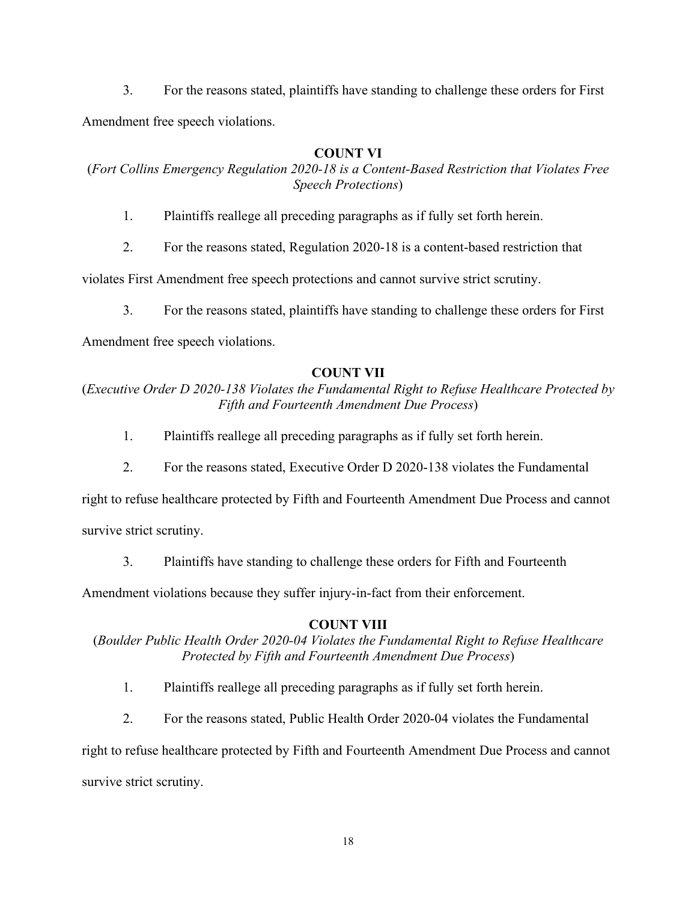3. For the reasons stated, plaintiffs have standing to challenge these orders for First Amendment free speech violations.

# **COUNT VI**

(*Fort Collins Emergency Regulation 2020-18 is a Content-Based Restriction that Violates Free Speech Protections*)

- 1. Plaintiffs reallege all preceding paragraphs as if fully set forth herein.
- 2. For the reasons stated, Regulation 2020-18 is a content-based restriction that

violates First Amendment free speech protections and cannot survive strict scrutiny.

3. For the reasons stated, plaintiffs have standing to challenge these orders for First

Amendment free speech violations.

# **COUNT VII**

(*Executive Order D 2020-138 Violates the Fundamental Right to Refuse Healthcare Protected by Fifth and Fourteenth Amendment Due Process*)

- 1. Plaintiffs reallege all preceding paragraphs as if fully set forth herein.
- 2. For the reasons stated, Executive Order D 2020-138 violates the Fundamental

right to refuse healthcare protected by Fifth and Fourteenth Amendment Due Process and cannot

survive strict scrutiny.

3. Plaintiffs have standing to challenge these orders for Fifth and Fourteenth

Amendment violations because they suffer injury-in-fact from their enforcement.

## **COUNT VIII**

(*Boulder Public Health Order 2020-04 Violates the Fundamental Right to Refuse Healthcare Protected by Fifth and Fourteenth Amendment Due Process*)

- 1. Plaintiffs reallege all preceding paragraphs as if fully set forth herein.
- 2. For the reasons stated, Public Health Order 2020-04 violates the Fundamental

right to refuse healthcare protected by Fifth and Fourteenth Amendment Due Process and cannot survive strict scrutiny.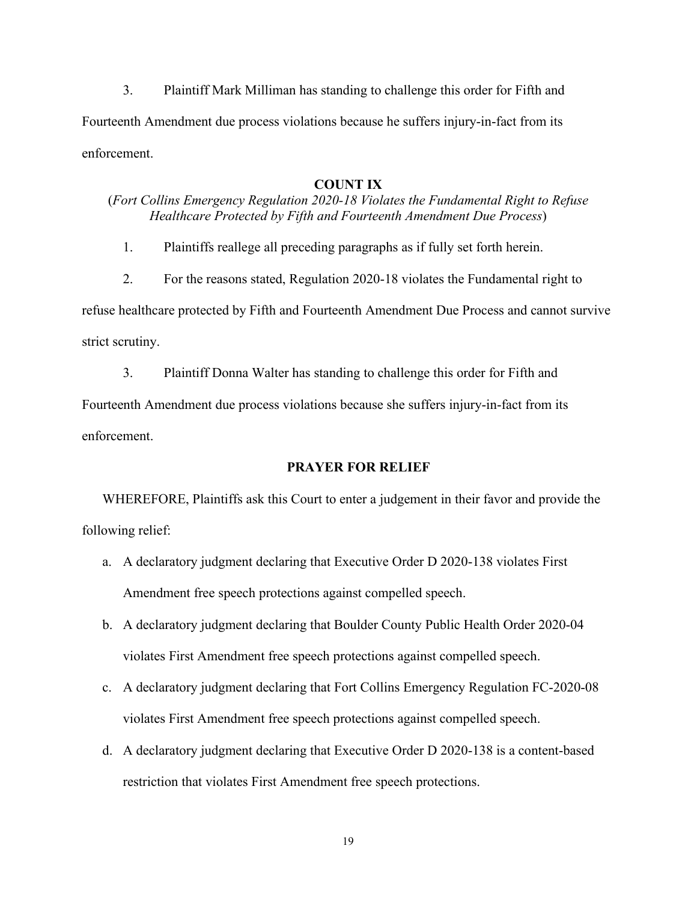3. Plaintiff Mark Milliman has standing to challenge this order for Fifth and Fourteenth Amendment due process violations because he suffers injury-in-fact from its enforcement.

### **COUNT IX**

## (*Fort Collins Emergency Regulation 2020-18 Violates the Fundamental Right to Refuse Healthcare Protected by Fifth and Fourteenth Amendment Due Process*)

1. Plaintiffs reallege all preceding paragraphs as if fully set forth herein.

2. For the reasons stated, Regulation 2020-18 violates the Fundamental right to refuse healthcare protected by Fifth and Fourteenth Amendment Due Process and cannot survive strict scrutiny.

3. Plaintiff Donna Walter has standing to challenge this order for Fifth and

Fourteenth Amendment due process violations because she suffers injury-in-fact from its enforcement.

### **PRAYER FOR RELIEF**

WHEREFORE, Plaintiffs ask this Court to enter a judgement in their favor and provide the following relief:

- a. A declaratory judgment declaring that Executive Order D 2020-138 violates First Amendment free speech protections against compelled speech.
- b. A declaratory judgment declaring that Boulder County Public Health Order 2020-04 violates First Amendment free speech protections against compelled speech.
- c. A declaratory judgment declaring that Fort Collins Emergency Regulation FC-2020-08 violates First Amendment free speech protections against compelled speech.
- d. A declaratory judgment declaring that Executive Order D 2020-138 is a content-based restriction that violates First Amendment free speech protections.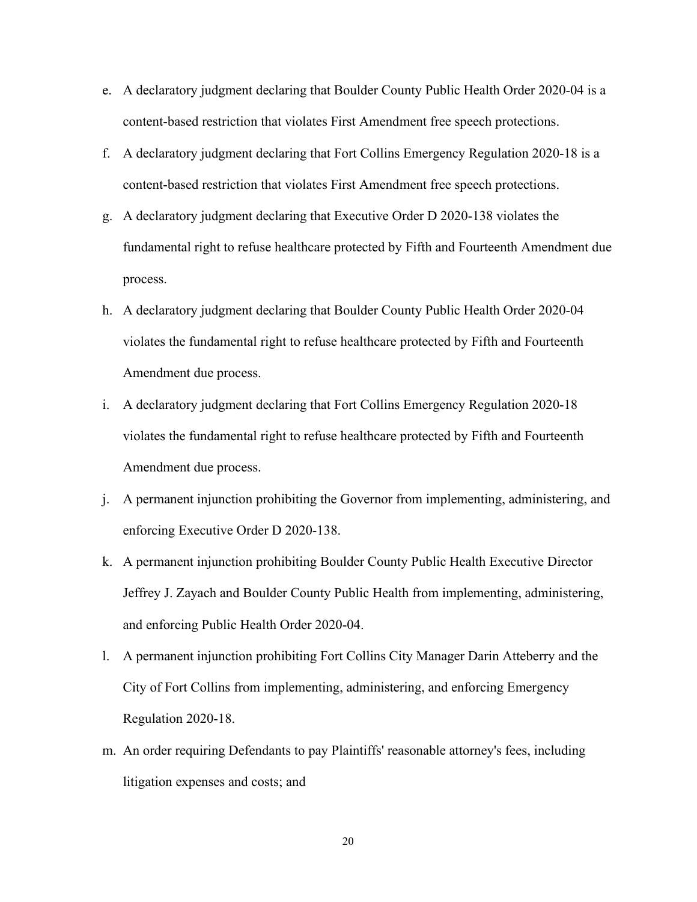- e. A declaratory judgment declaring that Boulder County Public Health Order 2020-04 is a content-based restriction that violates First Amendment free speech protections.
- f. A declaratory judgment declaring that Fort Collins Emergency Regulation 2020-18 is a content-based restriction that violates First Amendment free speech protections.
- g. A declaratory judgment declaring that Executive Order D 2020-138 violates the fundamental right to refuse healthcare protected by Fifth and Fourteenth Amendment due process.
- h. A declaratory judgment declaring that Boulder County Public Health Order 2020-04 violates the fundamental right to refuse healthcare protected by Fifth and Fourteenth Amendment due process.
- i. A declaratory judgment declaring that Fort Collins Emergency Regulation 2020-18 violates the fundamental right to refuse healthcare protected by Fifth and Fourteenth Amendment due process.
- j. A permanent injunction prohibiting the Governor from implementing, administering, and enforcing Executive Order D 2020-138.
- k. A permanent injunction prohibiting Boulder County Public Health Executive Director Jeffrey J. Zayach and Boulder County Public Health from implementing, administering, and enforcing Public Health Order 2020-04.
- l. A permanent injunction prohibiting Fort Collins City Manager Darin Atteberry and the City of Fort Collins from implementing, administering, and enforcing Emergency Regulation 2020-18.
- m. An order requiring Defendants to pay Plaintiffs' reasonable attorney's fees, including litigation expenses and costs; and